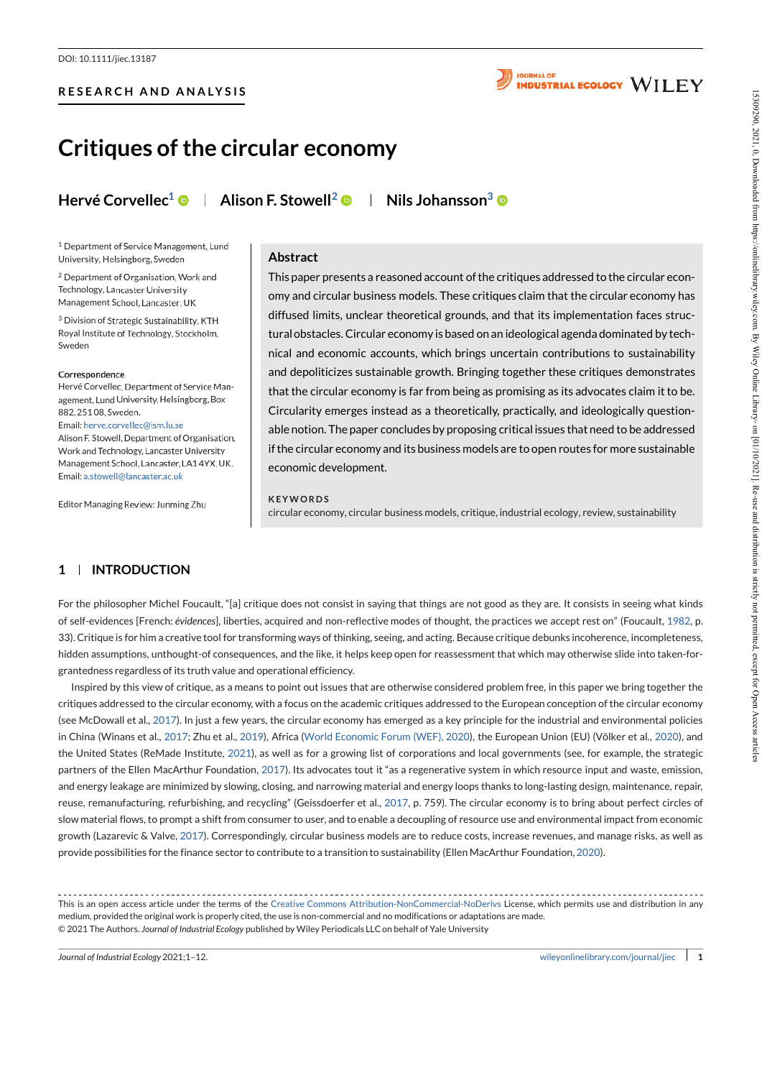

# **Critiques of the circular economy**

**Hervé Corvellec <sup>1</sup> Alison F. Stowell<sup>2</sup> Nils Johansson 3**

<sup>1</sup> Department of Service Management, Lund University, Helsingborg, Sweden

<sup>2</sup> Department of Organisation, Work and Technology, Lancaster University Management School, Lancaster, UK

<sup>3</sup> Division of Strategic Sustainability, KTH Royal Institute of Technology, Stockholm, Sweden

Hervé Corvellec, Department of Service Management, Lund University, Helsingborg, Box 882, 25108, Sweden. Email: herve.corvellec@ism.lu.se Alison F. Stowell, Department of Organisation, Work and Technology, Lancaster University Management School, Lancaster, LA14YX, UK. Email: a.stowell

Editor Managing Review: Junming Zhu

### **Abstract**

This paper presents a reasoned account ofthe critiques addressed to the circular economy and circular business models. These critiques claim that the circular economy has diffused limits, unclear theoretical grounds, and that its implementation faces struc turalobstacles. Circular economy is based on an ideological agenda dominated by technical and economic accounts, which brings uncertain contributions to sustainability and depoliticizes sustainable growth. Bringing together these critiques demonstrates that the circular economy is far from being as promising as its advocates claim it to be.<br>Circularity emerges instead as a theoretically, practically, and ideologically questionable notion. The paper concludes by proposing critical issues that need to be addressed ifthe circular economy and its business models are to open routes for more sustainable economic development.

#### **KEYWO RDS**

circular economy, circular business models, critique, industrial ecology, review, sustainability

# **1 INTRODUCTION**

For the philosopher Michel Foucault, "[a] critique does not consist in saying that things are not good as they are. It consists in seeing what kinds of self-evidences [French: *évidences*], liberties, acquired and non-reflective modes of thought, the practices we accept rest on" (Foucault, 1982, p. 33).Critique is for him a creative tool for transforming ways of thinking, seeing, and acting. Because critique debunks incoherence, incompleteness, hidden assumptions, unthought-of consequences, and the like, it helps keep open for reassessment that which may otherwise slide into taken-for grantedness regardless of its truth value and operational efficiency.

Inspired by this view of critique, as a means to point out issues that are otherwise considered problem free, in this paper we bring together the critiques addressed to the circular economy, with a focus on the academic critiques addressed to the European conception of the circular economy (see McDowall et al., 2017). In just a few years, the circular economy has emerged as a key principle for the industrial and environmental policies in China (Winans et al., 2017; Zhu et al., 2019), Africa (World Economic Forum (WEF), 2020), the European Union (EU) (Völker et al., 2020), and the United States (ReMade Institute, 2021), as well as for a growing list of corporations and local governments (see, for example, the strategic partners of the Ellen MacArthur Foundation, 2017). Its advocates tout it "as a regenerative system in which resource input and waste, emission, and energy leakage are minimized by slowing, closing, and narrowing material and energy loops thanks to long-lasting design, maintenance, repair, reuse, remanufacturing, refurbishing, and recycling" (Geissdoerfer et al., 2017, p. 759). The circular economy is to bring about perfect circles of slow material flows, to prompt a shift from consumer to user, and to enable a decoupling of resource use and environmental impact from economic growth (Lazarevic & Valve,2017). Correspondingly, circular business models are to reduce costs, increase revenues, and manage risks, as well as provide possibilities for the finance sector to contribute to a transition to sustainability (Ellen MacArthur Foundation, 2020). **Example 6 of the circular economy**<br> **Critiques of the circular economy**<br>
Hervé Corvelle<sup>-1</sup> © | Allison F. Stowell<sup>2</sup> © | Nilsohansson<sup>3</sup> ©<br>
Hervé Corvelle<sup>-1</sup> © | Allison F. Stowell<sup>2</sup> © | Nilsohansson<sup>3</sup> ©<br>
Hervé Corve

This is an open access article under the terms of the Creative Commons Attribution-NonCommercial-NoDerivs License, which permits use and distribution in any medium, provided the original work is properly cited, the use is non-commercial and no modifications or adaptations are made. © 2021 The Authors. *Journal of Industrial Ecology* published by Wiley Periodicals LLCon behalf of Yale University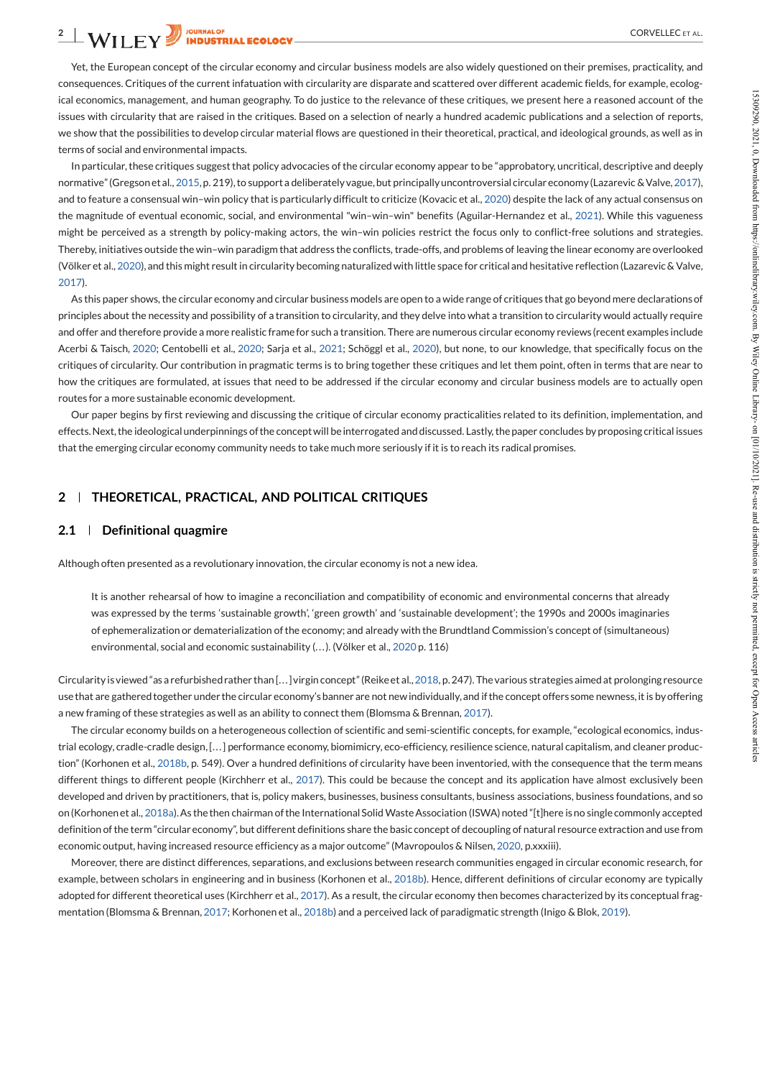Yet, the European concept of the circular economy and circular business models are also widely questioned on their premises, practicality, and consequences. Critiques of the current infatuation with circularity are disparate and scattered over different academic fields, for example, ecological economics, management, and human geography. To do justice to the relevance of these critiques, we present here a reasoned account of the issues with circularity that are raised in the critiques. Based on a selection of nearly a hundred academic publications and a selection of reports, we show that the possibilities to develop circular material flows are questioned in their theoretical, practical, and ideological grounds, as well as in terms of social and environmental impacts.

In particular, these critiques suggest that policy advocacies of the circular economy appear to be "approbatory, uncritical, descriptive and deeply normative" (Gregson et al., 2015, p. 219), to support a deliberately vague, but principally uncontroversial circular economy (Lazarevic & Valve, 2017), and to feature a consensual win–win policy that is particularly difficult to criticize (Kovacic et al., 2020) despite the lack of any actual consensus on the magnitude of eventual economic, social, and environmental "win-win-win" benefits (Aguilar-Hernandez et al., 2021). While this vagueness might be perceived as a strength by policy-making actors, the win–win policies restrict the focus only to conflict-free solutions and strategies. Thereby, initiatives outside the win–win paradigm that address the conflicts, trade-offs, and problems of leaving the linear economy are overlooked (Völker et al., 2020), and this might result in circularity becoming naturalized with little space for critical and hesitative reflection (Lazarevic & Valve, 2017). relations the experiment of the two paper by designing the the second free terminals a percent level of the second terminal of the experiment of the experiment of the experiment of the experiment of the experiment of the

As this paper shows, the circular economy and circular business models are open to a wide range of critiques that go beyond mere declarations of principles about the necessity and possibility of a transition to circularity, and they delve into what a transition to circularity would actually require and offer and therefore provide a more realistic framefor such a transition. There are numerous circular economy reviews (recent examples include Acerbi & Taisch, 2020; Centobelli et al., 2020; Sarja et al., 2021; Schöggl et al., 2020), but none, to our knowledge, that specifically focus on the critiques of circularity. Our contribution in pragmatic terms is to bring together these critiques and let them point, often in terms that are near to how the critiques are formulated, at issues that need to be addressed if the circular economy and circular business models are to actually open routes for a more sustainable economic development.

Our paper begins by first reviewing and discussing the critique of circular economy practicalities related to its definition, implementation, and effects.Next,the ideologicalunderpinnings ofthe conceptwill beinterrogated anddiscussed. Lastly,thepaper concludes byproposing critical issues that the emerging circular economy community needs to take much more seriously if it is to reach its radical promises.

# **2 THEORETICAL, PRACTICAL, AND POLITICAL CRITIQUES**

#### **2.1 Definitional quagmire**

Although often presented as a revolutionary innovation, the circular economy is not a new idea.

It is another rehearsal of how to imagine a reconciliation and compatibility of economic and environmental concerns that already was expressed by the terms 'sustainable growth', 'green growth' and 'sustainable development'; the 1990s and 2000s imaginaries of ephemeralization or dematerialization ofthe economy; and already with the Brundtland Commission's concept of (simultaneous) environmental, social and economic sustainability (...). (Völker et al., 2020 p. 116)

Circularity is viewed "as a refurbished rather than [...] virgin concept" (Reike et al., 2018, p. 247). The various strategies aimed at prolonging resource use that are gathered together under the circular economy's banner are not new individually, and if the concept offers some newness, it is by offering a new framing of these strategies as well as an ability to connect them (Blomsma & Brennan, 2017).

The circular economy builds on a heterogeneous collection of scientific and semi-scientific concepts, for example,"ecological economics, indus trial ecology, cradle-cradle design,[. . .] performance economy, biomimicry, eco-efficiency, resilience science, natural capitalism, and cleaner produc tion" (Korhonen et al., 2018b, p. 549). Over a hundred definitions of circularity have been inventoried, with the consequence that the term means different things to different people (Kirchherr et al., 2017). This could be because the concept and its application have almost exclusively been developed and driven by practitioners, that is, policy makers, businesses, business consultants, business associations, business foundations, and so on (Korhonen et al., 2018a). As the then chairman of the International Solid Waste Association (ISWA) noted "[t]here is no single commonly accepted definition of the term "circular economy", but different definitions share the basic concept of decoupling of natural resource extraction and use from economic output, having increased resource efficiency as a major outcome"(Mavropoulos & Nilsen, 2020, p.xxxiii).

Moreover, there are distinct differences, separations, and exclusions between research communities engaged in circular economic research, for example, between scholars in engineering and in business (Korhonen et al., 2018b). Hence, different definitions of circular economy are typically adopted for different theoretical uses (Kirchherr et al., 2017). As a result, the circular economy then becomes characterized by its conceptual frag-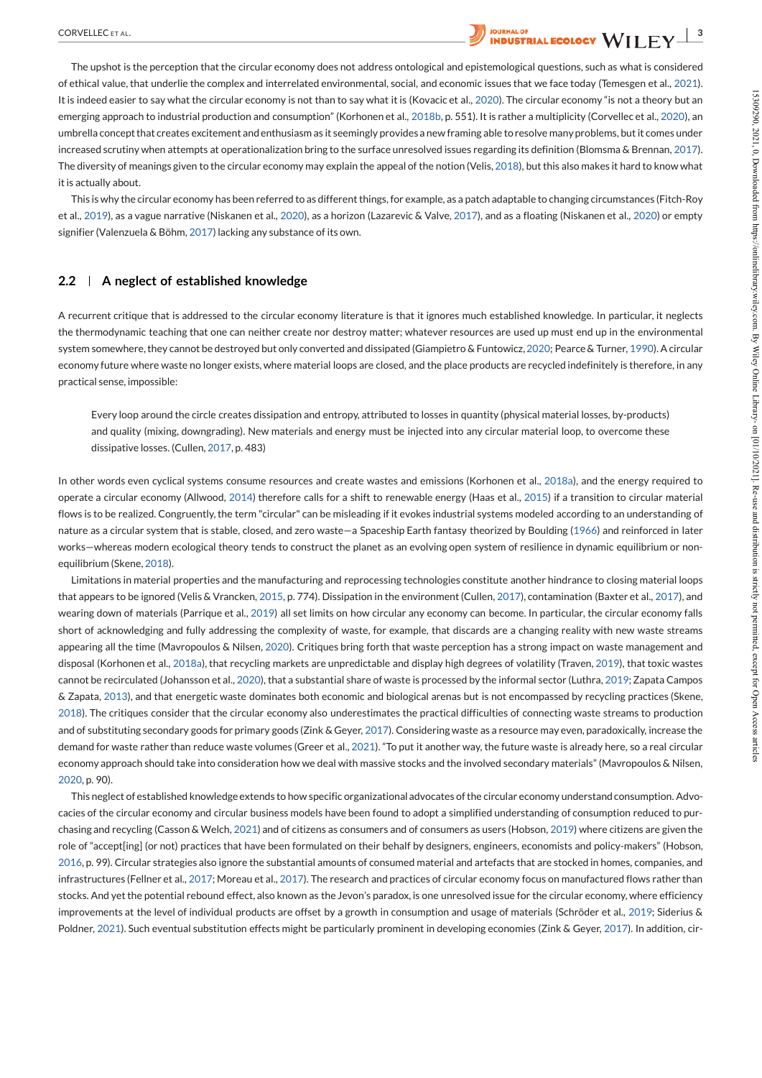

The upshot is the perception that the circular economy does not address ontological and epistemological questions, such as what is considered of ethical value, that underlie the complex and interrelated environmental, social, and economic issues that we face today (Temesgen et al., 2021). It is indeed easier to say what the circular economy is not than to say what it is (Kovacic et al., 2020). The circular economy "is not a theory but an emerging approach to industrial production and consumption" (Korhonen et al., 2018b, p. 551). It is rather a multiplicity (Corvellec et al., 2020), an umbrella conceptthat creates excitement andenthusiasm as it seemingly provides a new framing able toresolve manyproblems, butit comes under increased scrutiny when attempts at operationalization bring to the surface unresolved issues regarding its definition (Blomsma & Brennan, 2017). The diversity of meanings given to the circular economy may explain the appeal of the notion (Velis, 2018), but this also makes it hard to know what it is actually about.

This is why the circular economy has been referred to as differentthings, for example, as a patch adaptable to changing circumstances (Fitch-Roy et al., 2019), as a vague narrative (Niskanen etal., 2020), as a horizon (Lazarevic & Valve, 2017), and as a floating (Niskanen et al., 2020) or empty signifier (Valenzuela & Böhm, 2017) lacking any substance of its own.

# **2.2 A neglect of established knowledge**

A recurrent critique that is addressed to the circular economy literature is that it ignores much established knowledge. In particular, it neglects the thermodynamic teaching that one can neither create nor destroy matter; whatever resources are used up must end up in the environmental system somewhere,they cannot be destroyed but only converted and dissipated (Giampietro & Funtowicz,2020; Pearce& Turner, 1990). A circular economy future where waste no longer exists, where material loops are closed, and the place products are recycled indefinitely is therefore, in any practical sense, impossible:

Every loop around the circle creates dissipation and entropy, attributed to losses in quantity (physical material losses, by-products) and quality (mixing, downgrading). New materials and energy must be injected into any circular material loop, to overcome these dissipative losses. (Cullen, 2017, p. 483)

In other words even cyclical systems consume resources and create wastes and emissions (Korhonen et al., 2018a), and the energy required to operate a circular economy (Allwood, 2014) therefore calls for a shift to renewable energy (Haas et al., 2015) if a transition to circular material flows is to be realized. Congruently, the term "circular" can be misleading if it evokes industrial systems modeled according to an understanding of nature as a circular system that is stable, closed, and zero waste—a Spaceship Earth fantasy theorized by Boulding (1966) and reinforced in later works—whereas modern ecological theory tends to construct the planet as an evolving open system of resilience in dynamic equilibrium or non equilibrium (Skene, 2018).

Limitations in material properties and the manufacturing and reprocessing technologies constitute another hindrance to closing material loops that appears to be ignored (Velis & Vrancken, 2015, p. 774). Dissipation in the environment(Cullen, 2017), contamination (Baxter et al., 2017), and wearing down of materials (Parrique et al., 2019) all set limits on how circular any economy can become. In particular, the circular economy falls short of acknowledging and fully addressing the complexity of waste, for example, that discards are a changing reality with new waste streams appearing all the time (Mavropoulos & Nilsen, 2020). Critiques bring forth that waste perception has a strong impact on waste management and disposal (Korhonen et al., 2018a), that recycling markets are unpredictable and display high degrees of volatility (Traven, 2019), that toxic wastes cannot be recirculated (Johansson et al., 2020), that a substantial share ofwaste is processed by the informal sector (Luthra, 2019; Zapata Campos & Zapata, 2013), and that energetic waste dominates both economic and biological arenas but is not encompassed by recycling practices (Skene, 2018). The critiques consider that the circular economy also underestimates the practical difficulties of connecting waste streams to production and of substituting secondary goods for primary goods (Zink & Geyer, 2017). Considering waste as a resource may even, paradoxically, increase the demand for waste rather than reduce waste volumes (Greer et al., 2021). "To put it another way, the future waste is already here, so a real circular economy approach should take into consideration how we deal with massive stocks and the involved secondary materials" (Mavropoulos & Nilsen, 2020, p. 90). The host sales through the interaction particular and the sales of a 300 minimum term in the sales of a state of the sales of a state of the sales of a state of the sales of a state of the sales of a state of the sales of

This neglect of established knowledge extends to how specific organizational advocates of the circular economy understand consumption. Advocacies of the circular economy and circular business models have been found to adopt a simplified understanding of consumption reduced to pur chasing and recycling (Casson & Welch, 2021) and of citizens as consumers and of consumers as users (Hobson, 2019) where citizens are given the role of "accept[ing] (or not) practices that have been formulated on their behalf by designers, engineers, economists and policy-makers" (Hobson, 2016, p. 99). Circular strategies also ignore the substantial amounts of consumed material and artefacts that are stocked in homes, companies, and infrastructures (Fellner et al., 2017; Moreau et al., 2017). The research and practices of circular economy focus on manufactured flows rather than stocks. And yetthe potential rebound effect, also known as the Jevon's paradox, is one unresolved issue for the circular economy, where efficiency improvements at the level of individual products are offset by a growth in consumption and usage of materials (Schröder et al., 2019; Siderius &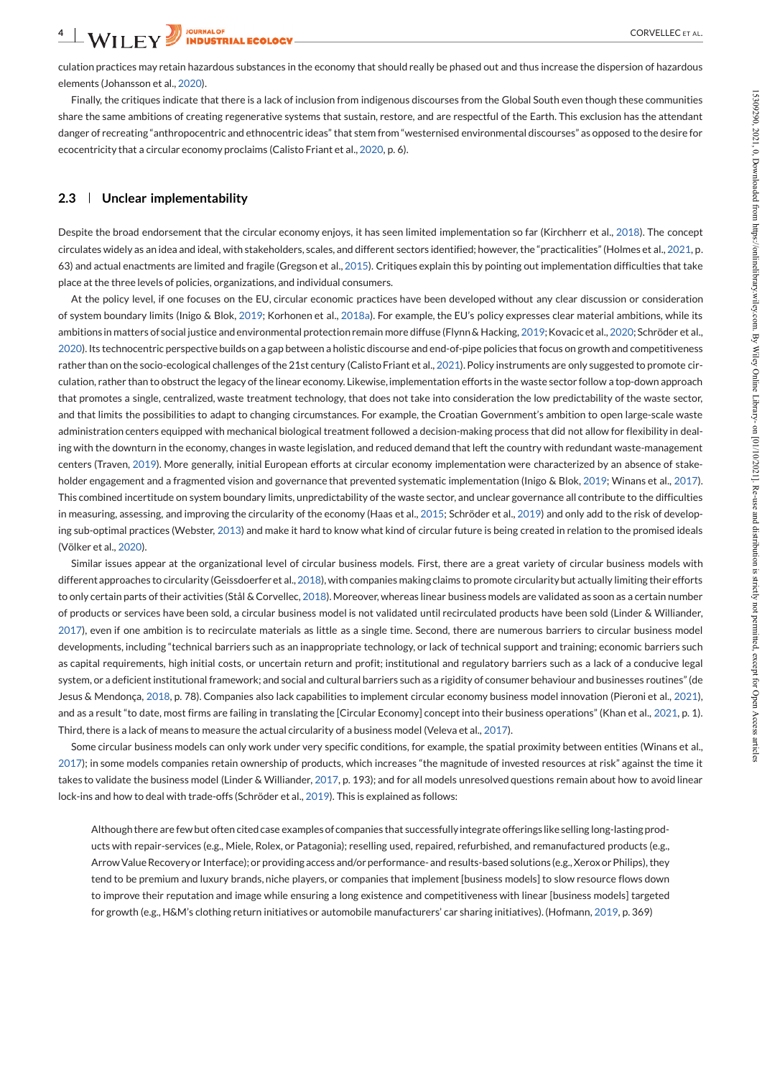culation practices may retain hazardous substances in the economy that should really be phased out and thus increase the dispersion of hazardous elements (Johansson et al., 2020).

Finally, the critiques indicate that there is a lack of inclusion from indigenous discourses from the Global South even though these communities share the same ambitions of creating regenerative systems that sustain, restore, and are respectful of the Earth. This exclusion has the attendant danger of recreating "anthropocentric and ethnocentric ideas" that stem from "westernised environmental discourses" as opposed to the desire for ecocentricity that a circular economy proclaims (Calisto Friant et al., 2020, p. 6).

### **2.3 Unclear implementability**

Despite the broad endorsement that the circular economy enjoys, it has seen limited implementation so far (Kirchherr et al., 2018). The concept circulates widely as an idea and ideal, with stakeholders, scales, and different sectors identified; however, the "practicalities"(Holmes et al., 2021, p. 63) and actual enactments are limited and fragile (Gregson etal., 2015). Critiques explain this by pointing out implementation difficulties that take place at the three levels of policies, organizations, and individual consumers.

At the policy level, if one focuses on the EU, circular economic practices have been developed without any clear discussion or consideration of system boundary limits (Inigo & Blok, 2019; Korhonen et al., 2018a). For example, the EU's policy expresses clear material ambitions, while its ambitions in matters of social justice and environmental protection remain more diffuse (Flynn & Hacking, 2019; Kovacic et al., 2020; Schröder et al., 2020). Its technocentric perspectivebuilds on a gap between a holistic discourse and end-of-pipe policies thatfocus on growth and competitiveness rather than on the socio-ecological challenges of the 21st century (Calisto Friant et al., 2021). Policy instruments are only suggested to promote circulation, rather than to obstruct the legacy of the linear economy. Likewise, implementation efforts in the waste sector follow a top-down approach that promotes a single, centralized, waste treatment technology, that does not take into consideration the low predictability of the waste sector, and that limits the possibilities to adapt to changing circumstances. For example, the Croatian Government's ambition to open large-scale waste administration centers equipped with mechanical biological treatment followed a decision-making process that did not allow for flexibility in dealing with the downturn in the economy, changes in waste legislation, and reduced demand that left the country with redundant waste-management centers (Traven, 2019). More generally, initial European efforts at circular economy implementation were characterized by an absence of stakeholder engagement and a fragmented vision and governance that prevented systematic implementation (Inigo & Blok, 2019; Winans et al., 2017). This combined incertitude on system boundary limits, unpredictability of the waste sector, and unclear governance all contribute to the difficulties in measuring, assessing, and improving the circularity of the economy (Haas et al., 2015; Schröder et al., 2019) and only add to the risk of developing sub-optimal practices (Webster, 2013) and make ithard to know what kind of circular future is being created in relation to the promised ideals (Völker et al., 2020). If  $\theta$  recoins reduce that the there is a solicity that in the present entroined enters in the charge of the the theoretical state is a state of the the theoretical state is a state of the theoretical state is a state of

Similar issues appear at the organizational level of circular business models. First, there are a great variety of circular business models with different approaches to circularity (Geissdoerferet al.,2018), with companies making claims to promote circularitybut actually limiting theirefforts to only certain parts oftheir activities (Stål & Corvellec, 2018). Moreover, whereas linear business models are validated as soon as a certain number of products or services have been sold, a circular business model is not validated until recirculated products have been sold (Linder & Williander, 2017), even if one ambition is to recirculate materials as little as a single time. Second, there are numerous barriers to circular business model developments, including "technical barriers such as an inappropriate technology, or lack of technical support and training; economic barriers such as capital requirements, high initial costs, or uncertain return and profit; institutional and regulatory barriers such as a lack of a conducive legal system, or a deficient institutional framework; and social and cultural barriers such as a rigidity of consumer behaviour and businesses routines" (de Jesus & Mendonça, 2018, p. 78). Companies also lack capabilities to implement circular economy business model innovation (Pieroni et al., 2021), and as a result "to date, most firms are failing in translating the [Circular Economy] concept into their business operations" (Khan et al., 2021, p. 1). Third, there is a lack of means to measure the actual circularity of a business model (Veleva et al., 2017).

Some circular business models can only work under very specific conditions, for example, the spatial proximity between entities (Winans et al., 2017); in some models companies retain ownership of products, which increases "the magnitude of invested resources at risk" against the time it takes to validate the business model (Linder & Williander, 2017, p. 193); and for all models unresolved questions remain about how to avoid linear lock-ins and how to deal with trade-offs (Schröder et al., 2019). This is explained as follows:

Although there are few but often cited case examples of companies that successfully integrate offerings like selling long-lasting products with repair-services (e.g., Miele, Rolex, or Patagonia); reselling used, repaired, refurbished, and remanufactured products (e.g., Arrow Value Recovery or Interface); or providing access and/or performance- and results-based solutions (e.g., Xerox or Philips), they tend to be premium and luxury brands, niche players, or companies that implement [business models] to slow resource flows down to improve their reputation and image while ensuring a long existence and competitiveness with linear [business models] targeted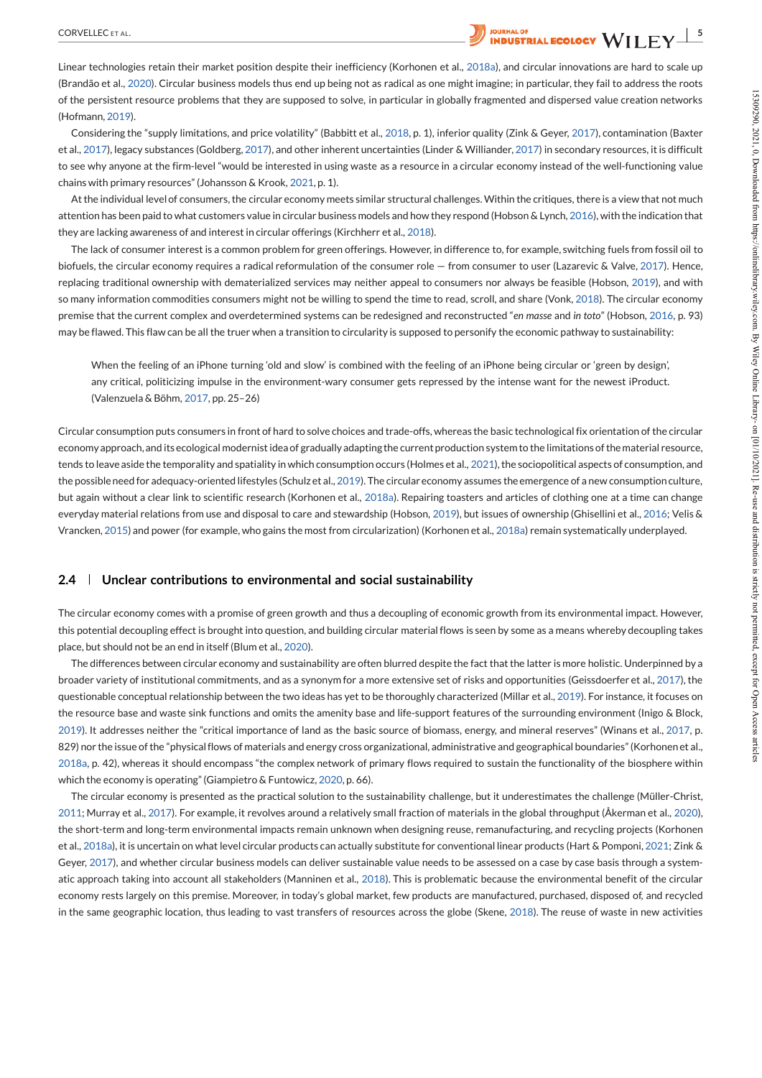Linear technologies retain their market position despite their inefficiency (Korhonen et al., 2018a), and circular innovations are hard to scale up (Brandão et al., 2020). Circular business models thus end up being not as radical as one might imagine; in particular, they fail to address the roots of the persistent resource problems that they are supposed to solve, in particular in globally fragmented and dispersed value creation networks (Hofmann, 2019).

Considering the "supply limitations, and price volatility" (Babbitt et al., 2018, p. 1), inferior quality (Zink & Geyer, 2017), contamination (Baxter et al., 2017), legacy substances (Goldberg, 2017), and other inherent uncertainties (Linder & Williander, 2017) in secondary resources, itis difficult to see why anyone at the firm-level "would be interested in using waste as a resource in a circular economy instead of the well-functioning value chains with primary resources"(Johansson & Krook, 2021, p. 1).

At the individual level of consumers, the circular economy meets similar structural challenges. Within the critiques, there is a view that not much attention has been paid to what customers value in circular business models and how they respond (Hobson & Lynch, 2016), with the indication that they are lacking awareness of and interest in circular offerings (Kirchherr et al., 2018).

The lack ofconsumer interest is a common problem for green offerings. However, in difference to, for example, switching fuels from fossil oil to biofuels, the circular economy requires a radical reformulation of the consumer role — from consumer to user (Lazarevic & Valve, 2017). Hence, replacing traditional ownership with dematerialized services may neither appeal to consumers nor always be feasible (Hobson, 2019), and with so many information commodities consumers might not be willing to spend the time to read, scroll, and share (Vonk, 2018). The circular economy premise that the current complex and overdetermined systems can be redesigned and reconstructed "*en masse* and *in toto*" (Hobson, 2016, p. 93) may be flawed. This flaw can be all the truer when a transition to circularity is supposed to personify the economic pathway to sustainability:

When the feeling of an iPhone turning 'old and slow' is combined with the feeling of an iPhone being circular or 'green by design', any critical, politicizing impulse in the environment-wary consumer gets repressed by the intense want for the newest iProduct. (Valenzuela & Böhm, 2017, pp. 25–26)

Circular consumption puts consumers in front of hard to solve choices and trade-offs, whereas the basic technological fix orientation of the circular economy approach, and its ecological modernist idea of gradually adapting the current production system to the limitations of the material resource, tends to leave aside the temporality and spatiality in which consumption occurs (Holmes et al., 2021), the sociopolitical aspects of consumption, and the possible need for adequacy-oriented lifestyles (Schulz et al., 2019). The circular economy assumes the emergence of a new consumption culture, but again without a clear link to scientific research (Korhonen et al., 2018a). Repairing toasters and articles of clothing one at a time can change everyday material relations from use and disposal to care and stewardship (Hobson, 2019), but issues of ownership (Ghisellini et al., 2016; Velis & Vrancken, 2015) and power (for example, who gains the most from circularization) (Korhonen etal., 2018a) remain systematically underplayed.

#### **2.4 Unclear contributions to environmental and social sustainability**

The circular economy comes with a promise of green growth and thus a decoupling of economic growth from its environmental impact. However, this potential decoupling effect is brought into question, and building circular material flows is seen by some as a means whereby decoupling takes place, but should not be an end in itself (Blum et al., 2020).

The differences between circular economy and sustainability are often blurred despite the fact that the latter is more holistic. Underpinned by a broader variety of institutional commitments, and as a synonym for a more extensive set of risks and opportunities (Geissdoerfer et al., 2017), the questionable conceptual relationship between the two ideas has yet to be thoroughly characterized (Millar et al., 2019). For instance, it focuses on the resource base and waste sink functions and omits the amenity base and life-support features of the surrounding environment (Inigo & Block, 2019). It addresses neither the "critical importance of land as the basic source of biomass, energy, and mineral reserves" (Winans et al., 2017, p. 829) nor the issue of the "physical flows of materials and energy cross organizational, administrative and geographical boundaries" (Korhonen et al., 2018a, p. 42), whereas it should encompass "the complex network of primary flows required to sustain the functionality of the biosphere within which the economy is operating"(Giampietro & Funtowicz, 2020, p. 66). of the project mean strellants the Pay are signed to sub-injectivity in global requested with representations (and the mean of the sub-interference of the sub-interference of the sub-interference of the sub-interference o

The circular economy is presented as the practical solution to the sustainability challenge, but it underestimates the challenge (Müller-Christ, 2011; Murray et al., 2017). For example, it revolves around a relatively small fraction of materials in the global throughput (Åkerman et al., 2020), the short-term and long-term environmental impacts remain unknown when designing reuse, remanufacturing, and recycling projects (Korhonen et al., 2018a), it is uncertain on what level circular products can actually substitute for conventional linear products (Hart & Pomponi, 2021; Zink & Geyer, 2017), and whether circular business models can deliver sustainable value needs to be assessed on a case by case basis through a systematic approach taking into account all stakeholders (Manninen et al., 2018). This is problematic because the environmental benefit of the circular economy rests largely on this premise. Moreover, in today's global market, few products are manufactured, purchased, disposed of, and recycled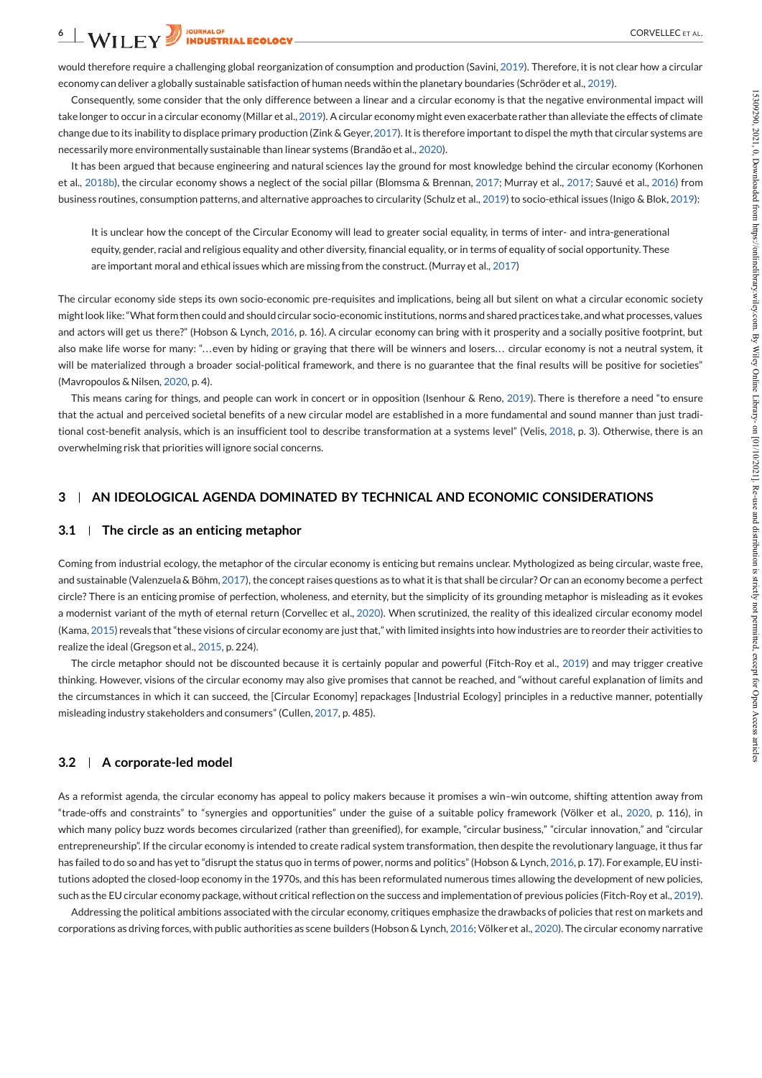would therefore require a challenging global reorganization of consumption and production (Savini, 2019). Therefore, it is not clear how a circular economy can deliver a globally sustainable satisfaction of human needs within the planetary boundaries (Schröder et al., 2019).

Consequently, some consider that the only difference between a linear and a circular economy is that the negative environmental impact will takelonger to occur in a circular economy (Millar et al., 2019). A circular economy might even exacerbaterather than alleviate the effects of climate change due to its inability to displace primary production (Zink & Geyer, 2017). It is therefore important to dispel the myth that circular systems are necessarily more environmentally sustainable than linear systems (Brandão et al., 2020).

It has been argued that because engineering and natural sciences lay the ground for most knowledge behind the circular economy (Korhonen business routines, consumption patterns, and alternative approaches to circularity (Schulz et al., 2019) to socio-ethical issues (Inigo & Blok, 2019):

It is unclear how the concept of the Circular Economy will lead to greater social equality, in terms of inter- and intra-generational equity, gender, racial and religious equality and other diversity, financial equality, or in terms of equality of social opportunity. These are important moral and ethical issues which are missing from the construct. (Murray et al., 2017)

Consequents, correction of the circular economy in that exposes the circular economy shows a neglect of the social pillar economy shows a neglect of the social pillar economic in experiment in the social pillar economic i The circular economy side steps its own socio-economic pre-requisites and implications, being all but silent on what a circular economic society might look like: "What form then could and should circular socio-economic institutions, norms and shared practices take, and what processes, values and actors will get us there?" (Hobson & Lynch, 2016, p. 16). A circular economy can bring with it prosperity and a socially positive footprint, but also make life worse for many: ". . .even by hiding or graying that there will be winners and losers. . . circular economy is not a neutral system, it will be materialized through a broader social-political framework, and there is no guarantee that the final results will be positive for societies" (Mavropoulos & Nilsen, 2020, p. 4).

This means caring for things, and people can work in concert or in opposition (Isenhour & Reno, 2019). There is therefore a need "to ensure that the actual and perceived societal benefits of a new circular model are established in a more fundamental and sound manner than just tradi tional cost-benefit analysis, which is an insufficient tool to describe transformation at a systems level" (Velis, 2018, p. 3). Otherwise, there is an overwhelming risk that priorities will ignore social concerns.

# **3 AN IDEOLOGICAL AGENDA DOMINATED BY TECHNICAL AND ECONOMIC CONSIDERATIONS**

#### **3.1 The circle as an enticing metaphor**

Coming from industrial ecology, the metaphor of the circular economy is enticing but remains unclear. Mythologized as being circular, waste free, and sustainable (Valenzuela & Böhm, 2017), the concept raises questions as to what it is that shall be circular? Or can an economy become a perfect circle? There is an enticing promise of perfection, wholeness, and eternity, but the simplicity of its grounding metaphor is misleading as it evokes a modernist variant of the myth of eternal return (Corvellec et al., 2020). When scrutinized, the reality of this idealized circular economy model (Kama, 2015) reveals that"these visions of circular economy are justthat," with limited insights into how industries are to reorder their activities to realize the ideal (Gregson et al., 2015, p. 224).

The circle metaphor should not be discounted because it is certainly popular and powerful (Fitch-Roy et al., 2019) and may trigger creative thinking. However, visions of the circular economy may also give promises that cannot be reached, and "without careful explanation of limits and the circumstances in which it can succeed, the [Circular Economy] repackages [Industrial Ecology] principles in a reductive manner, potentially misleading industry stakeholders and consumers" (Cullen, 2017, p. 485).

#### **3.2 A corporate-led model**

As a reformist agenda, the circular economy has appeal to policy makers because it promises a win–win outcome, shifting attention away from "trade-offs and constraints" to "synergies and opportunities" under the guise of a suitable policy framework (Völker et al., 2020, p. 116), in which many policy buzz words becomes circularized (rather than greenified), for example, "circular business," "circular innovation," and "circular entrepreneurship". If the circular economy is intended to create radical system transformation, then despite the revolutionary language, it thus far has failed to do so and has yet to "disrupt the status quo in terms of power, norms and politics" (Hobson & Lynch, 2016, p. 17). For example, EU institutions adopted the closed-loop economy in the 1970s, and this has been reformulated numerous times allowing the development of new policies, such as the EU circular economy package, without critical reflection on the success and implementation of previous policies (Fitch-Roy et al., 2019). Compared that the results that for each different scholar controllers are seller to the results and the results are compared to the results and the results of the results and the results are controllers are also that the

Addressing the political ambitions associated with the circular economy, critiques emphasize the drawbacks of policies that rest on markets and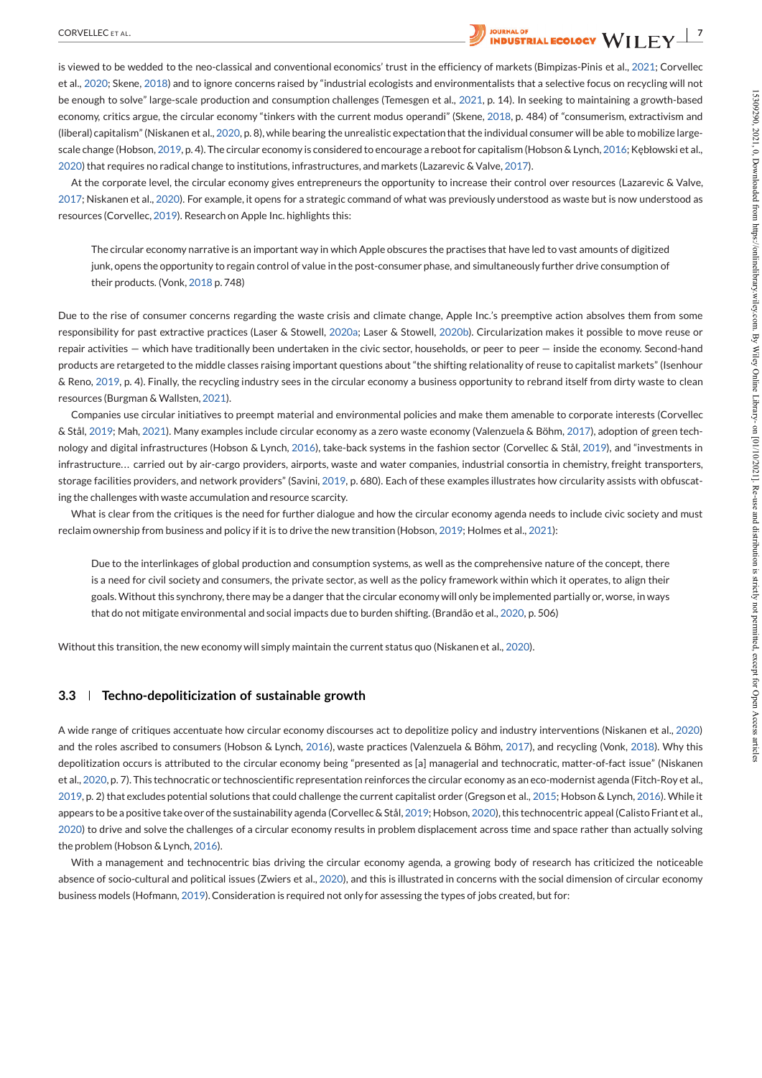

is viewed to be wedded to the neo-classical and conventional economics' trust in the efficiency of markets (Bimpizas-Pinis et al., 2021; Corvellec et al., 2020; Skene, 2018) and to ignore concerns raised by "industrial ecologists and environmentalists that a selective focus on recycling will not be enough to solve" large-scale production and consumption challenges (Temesgen et al., 2021, p. 14). In seeking to maintaining a growth-based economy, critics argue, the circular economy "tinkers with the current modus operandi" (Skene, 2018, p. 484) of "consumerism, extractivism and (liberal) capitalism"(Niskanen etal., 2020, p. 8), while bearing the unrealistic expectationthat the individual consumer will be able to mobilize large scale change (Hobson, 2019, p. 4). The circular economy is considered to encourage a reboot for capitalism (Hobson & Lynch, 2016; Kebłowski et al., 2020)that requires no radical change to institutions, infrastructures, and markets (Lazarevic & Valve,2017).

At the corporate level, the circular economy gives entrepreneurs the opportunity to increase their control over resources (Lazarevic & Valve,<br>2017; Niskanen et al., 2020). For example, it opens for a strategic command of w resources (Corvellec, 2019). Research on Apple Inc. highlights this:

The circular economy narrative is an important way in which Apple obscures the practises that have led to vast amounts of digitized junk, opens the opportunity to regain control of value in the post-consumer phase, and simultaneously further drive consumption of their products. (Vonk, 2018 p. 748)

Due to the rise of consumer concerns regarding the waste crisis and climate change, Apple Inc.'s preemptive action absolves them from some responsibility for past extractive practices (Laser & Stowell, 2020a; Laser & Stowell, 2020b). Circularization makes it possible to move reuse or repair activities — which have traditionally been undertaken in the civic sector, households, or peer to peer — inside the economy. Second-hand products are retargeted to the middle classes raising important questions about "the shifting relationality of reuse to capitalist markets" (Isenhour & Reno,2019, p. 4). Finally, the recycling industry sees in the circular economy a business opportunity to rebrand itself from dirty waste to clean resources (Burgman & Wallsten, 2021).

Companies use circular initiatives to preempt material and environmental policies and make them amenable to corporate interests (Corvellec & Stål, 2019; Mah, 2021). Many examples include circular economy as a zero waste economy (Valenzuela & Böhm, 2017), adoption of green tech nology and digital infrastructures (Hobson & Lynch, 2016), take-back systems in the fashion sector (Corvellec & Stål, 2019), and "investments in infrastructure... carried out by air-cargo providers, airports, waste and water companies, industrial consortia in chemistry, freight transporters, storage facilities providers, and network providers" (Savini, 2019, p. 680). Each of these examples illustrates how circularity assists with obfuscating the challenges with waste accumulation and resource scarcity.

What is clear from the critiques is the need for further dialogue and how the circular economy agenda needs to include civic society and must reclaim ownership from business and policy if it is to drive the new transition (Hobson, 2019; Holmes et al., 2021):

Due to the interlinkages of global production and consumption systems, as well as the comprehensive nature of the concept, there is a need for civil society and consumers, the private sector, as well as the policy framework within which it operates, to align their goals. Without this synchrony, there may be a danger that the circular economy will only be implemented partially or, worse, in ways that do not mitigate environmental and social impacts due to burden shifting. (Brandão et al., 2020, p. 506)

Without this transition, the new economy will simply maintain the current status quo (Niskanen et al., 2020).

#### **3.3 Techno-depoliticization ofsustainable growth**

A wide range of critiques accentuate how circular economy discourses act to depolitize policy and industry interventions (Niskanen et al., 2020) and the roles ascribed to consumers (Hobson & Lynch, 2016), waste practices (Valenzuela & Böhm, 2017), and recycling (Vonk, 2018). Why this depolitization occurs is attributed to the circular economy being "presented as [a] managerial and technocratic, matter-of-fact issue" (Niskanen et al., 2020, p. 7). This technocratic or technoscientific representation reinforces the circular economy as an eco-modernist agenda (Fitch-Roy et al., 2019, p. 2) that excludes potential solutions that could challenge the current capitalist order (Gregson etal., 2015; Hobson & Lynch, 2016). While it appears to bea positive take over of the sustainability agenda (Corvellec & Stål, 2019; Hobson, 2020), this technocentric appeal (Calisto Friant et al., 2020) to drive and solve the challenges of a circular economy results in problem displacement across time and space rather than actually solving the problem (Hobson & Lynch, 2016). is eventy to the "layer the priori channel constraint for the properties. This is a static procedure of the static properties of the static properties of the static properties of the static properties of the static propert

With a management and technocentric bias driving the circular economy agenda, a growing body of research has criticized the noticeable absence of socio-cultural and political issues (Zwiers et al., 2020), and this is illustrated in concerns with the social dimension of circular economy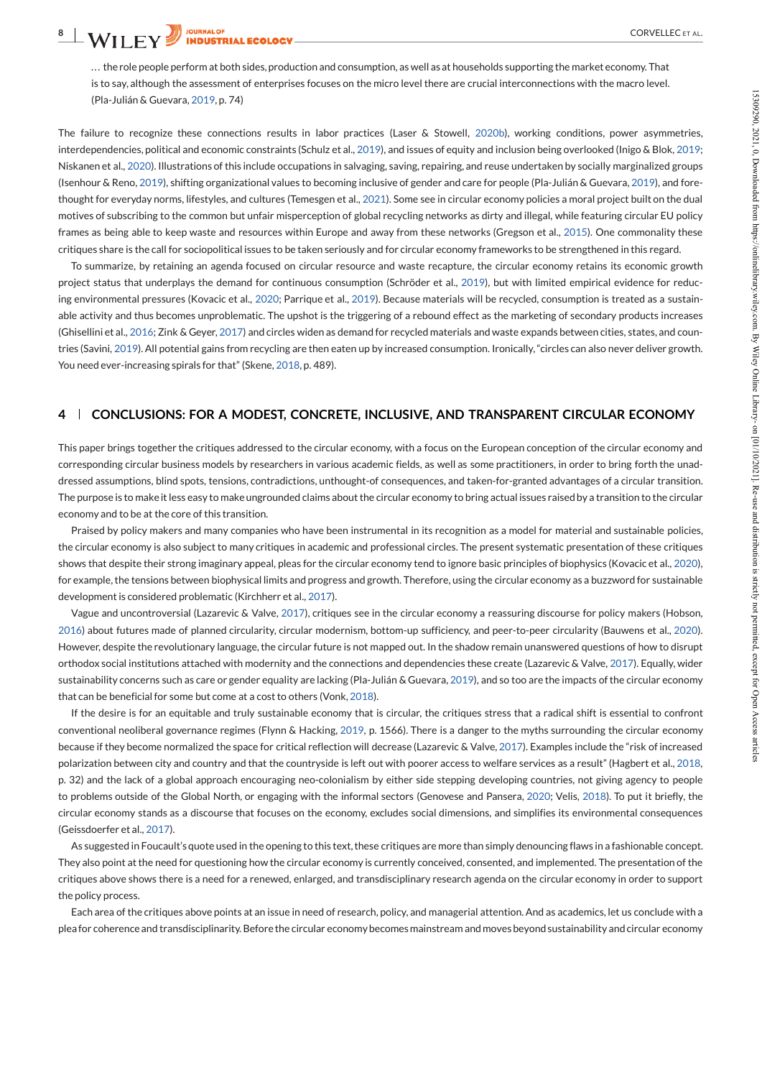... the role people perform at both sides, production and consumption, as well as at households supporting the market economy. That is to say, although the assessment of enterprises focuses on the micro level there are crucial interconnections with the macro level. (Pla-Julián & Guevara, 2019, p. 74)

The failure to recognize these connections results in labor practices (Laser & Stowell, 2020b), working conditions, power asymmetries, interdependencies, political and economic constraints (Schulz et al., 2019), and issues of equity and inclusion being overlooked (Inigo & Blok, 2019; Niskanen et al., 2020). Illustrations of this include occupations in salvaging, saving, repairing, and reuse undertaken by socially marginalized groups (Isenhour & Reno, 2019), shifting organizational values to becoming inclusive ofgender and care for people (Pla-Julián & Guevara, 2019), and fore thought for everyday norms, lifestyles, and cultures (Temesgen et al., 2021). Some see in circular economy policies a moral project built on the dual motives of subscribing to the common but unfair misperception of global recycling networks as dirty and illegal, while featuring circular EU policy frames as being able to keep waste and resources within Europe and away from these networks (Gregson et al., 2015). One commonality these critiques share is the call for sociopolitical issues to be taken seriously and for circular economy frameworks to be strengthened in this regard.

To summarize, by retaining an agenda focused on circular resource and waste recapture, the circular economy retains its economic growth project status that underplays the demand for continuous consumption (Schröder et al., 2019), but with limited empirical evidence for reducing environmental pressures (Kovacic et al., 2020; Parrique et al., 2019). Because materials will be recycled, consumption is treated as a sustain able activity and thus becomes unproblematic. The upshot is the triggering of a rebound effect as the marketing of secondary products increases (Ghisellini et al., 2016; Zink & Geyer, 2017) and circles widen as demand for recycled materials and waste expands between cities, states, and coun tries (Savini, 2019). All potential gains from recycling are then eaten up by increased consumption. Ironically,"circles can also never deliver growth. You need ever-increasing spirals for that" (Skene, 2018, p. 489).

# **4 CONCLUSIONS: FOR A MODEST, CONCRETE, INCLUSIVE, AND TRANSPARENT CIRCULAR ECONOMY**

This paper brings together the critiques addressed to the circular economy, with a focus on the European conception of the circular economy and corresponding circular business models by researchers in various academic fields, as well as some practitioners, in order to bring forth the unad dressed assumptions, blind spots, tensions, contradictions, unthought-of consequences, and taken-for-granted advantages of a circular transition. The purpose is to make it less easy to make ungrounded claims about the circular economy to bring actual issues raised by a transition to the circular economy and to be at the core of this transition.

Praised by policy makers and many companies who have been instrumental in its recognition as a model for material and sustainable policies, the circular economy is also subject to many critiques in academic and professional circles. The present systematic presentation of these critiques shows that despite their strong imaginary appeal, pleas for the circular economy tend to ignore basic principles of biophysics (Kovacic et al., 2020), for example, the tensions between biophysical limits and progress and growth. Therefore, using the circular economy as a buzzword for sustainable development is considered problematic (Kirchherr et al., 2017).

Vague and uncontroversial (Lazarevic & Valve,2017), critiques see in the circular economy a reassuring discourse for policy makers (Hobson, 2016) about futures made of planned circularity, circular modernism, bottom-up sufficiency, and peer-to-peer circularity (Bauwens et al., 2020). However, despite the revolutionary language, the circular future is not mapped out. In the shadow remain unanswered questions of how to disrupt orthodox social institutions attached with modernity and the connections and dependencies these create (Lazarevic & Valve, 2017). Equally, wider sustainability concerns such as care or gender equality are lacking (Pla-Julián & Guevara, 2019), and so too are the impacts ofthe circular economy that can be beneficial for some but come at a cost to others (Vonk, 2018).

If the desire is for an equitable and truly sustainable economy that is circular, the critiques stress that a radical shift is essential to confront conventional neoliberal governance regimes (Flynn & Hacking, 2019, p. 1566). There is a danger to the myths surrounding the circular economy because if they become normalized the space for critical reflection will decrease (Lazarevic & Valve, 2017). Examples include the "risk of increased polarization between city and country and that the countryside is left out with poorer access to welfare services as a result" (Hagbert et al., 2018, p. 32) and the lack of a global approach encouraging neo-colonialism by either side stepping developing countries, not giving agency to people to problems outside of the Global North, or engaging with the informal sectors (Genovese and Pansera, 2020; Velis, 2018). To put it briefly, the circular economy stands as a discourse that focuses on the economy, excludes social dimensions, and simplifies its environmental consequences (Geissdoerfer et al., 2017). 29 (alabia frames 2019 p. 24)<br>
29 (alabia frames 2019 p. 24)<br>
29 (alabia frames and the state parties after a frame and 2010, and in the state and in the state in the state and in the state and in the state and in the st

As suggested in Foucault's quote used in the opening to this text, these critiques are more than simply denouncing flaws in a fashionable concept. They also point at the need for questioning how the circular economy is currently conceived, consented, and implemented. The presentation of the critiques above shows there is a need for a renewed, enlarged, and transdisciplinary research agenda on the circular economy in order to support the policy process.

Each area ofthe critiques above points at an issue in need of research, policy, and managerial attention. And as academics, let us conclude with a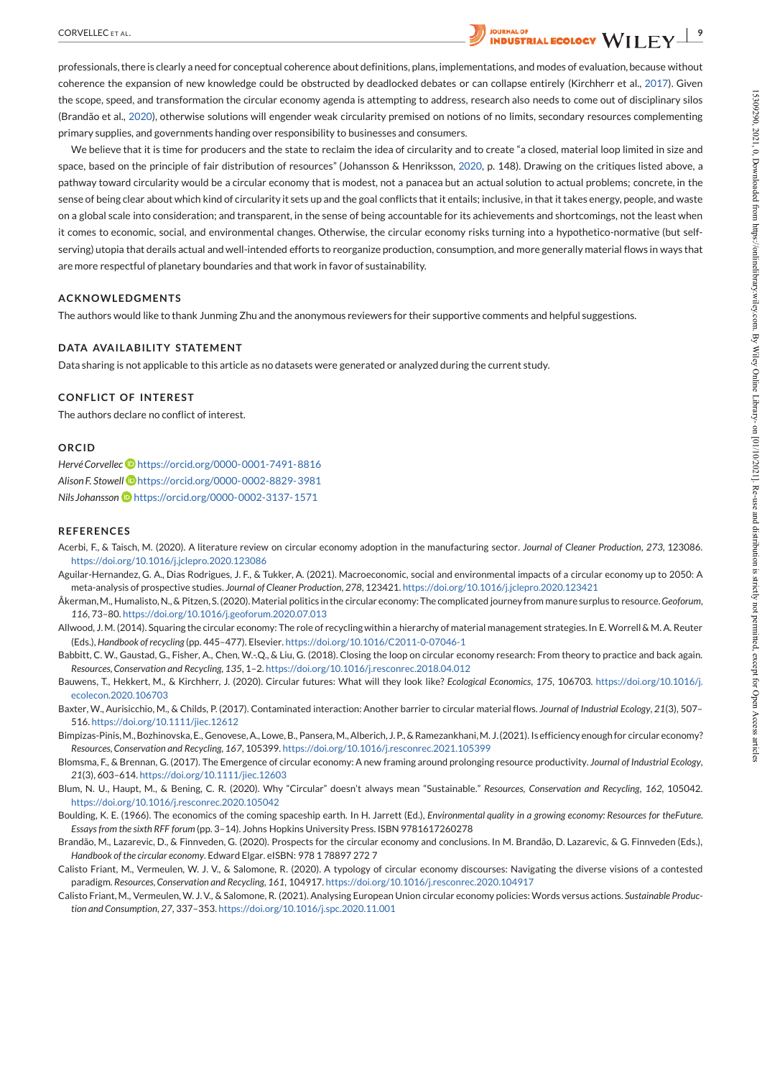

We believe that it is time for producers and the state to reclaim the idea of circularity and to create "a closed, material loop limited in size and space, based on the principle of fair distribution of resources" (Johansson & Henriksson, 2020, p. 148). Drawing on the critiques listed above, a pathway toward circularity would be a circular economy that is modest, not a panacea but an actual solution to actual problems; concrete, in the sense of being clear about which kind of circularity it sets up and the goal conflicts that it entails; inclusive, in that it takes energy, people, and waste on a global scale into consideration; and transparent, in the sense of being accountable for its achievements and shortcomings, not the least when it comes to economic, social, and environmental changes. Otherwise, the circular economy risks turning into a hypothetico-normative (but self serving) utopia that derails actual and well-intended efforts to reorganize production, consumption, and more generally material flows in ways that are more respectful of planetary boundaries and that work in favor of sustainability. spong per distintention to be contained to the contained intention which is meant that the three methods were also dependent on the contained intention of the contained intention in the contained intention in the containe

# **ACKNOWLEDGMENTS**

The authors would like to thank Junming Zhu and the anonymous reviewers for their supportive comments and helpful suggestions.

# **DATA AVAILABILITY STATEMENT**

Data sharing is not applicable to this article as no datasets were generated or analyzed during the current study.

# **CONFLICT OF INTEREST**

The authors declare no conflict of interest.

# **ORCID**

*HervéCorvellec* https://orcid.org/0000-0001-7491-8816 *AlisonF. Stowell* https://orcid.org/0000-0002-8829-3981 *Nils Johansson* https://orcid.org/0000-0002-3137-1571

#### **REFERENCES**

- Acerbi, F., & Taisch, M. (2020). A literature review on circular economy adoption in the manufacturing sector. *Journal of Cleaner Production*, *273*, 123086. https://doi.org/10.1016/j.jclepro.2020.123086
- Aguilar-Hernandez, G. A., Dias Rodrigues, J. F., & Tukker, A. (2021). Macroeconomic, social and environmental impacts of a circular economy up to 2050: A meta-analysis of prospective studies. *Journal of Cleaner Production*, *278*, 123421. https://doi.org/10.1016/j.jclepro.2020.123421
- Åkerman, M., Humalisto, N., & Pitzen, S. (2020). Material politics in the circular economy: The complicated journey from manure surplus to resource. Geoforum, *116*, 73–80. https://doi.org/10.1016/j.geoforum.2020.07.013
- Allwood, J.M. (2014). Squaring the circular economy: The role of recycling within a hierarchy of material management strategies. In E. Worrell & M.A. Reuter (Eds.), *Handbook ofrecycling* (pp. 445–477). Elsevier. https://doi.org/10.1016/C2011-0-07046-1
- Babbitt, C. W., Gaustad, G., Fisher, A., Chen, W.-.Q., & Liu, G. (2018). Closing the loop on circular economy research: From theory to practice and back again. *Resources,Conservation and Recycling*, *135*, 1–2. https://doi.org/10.1016/j.resconrec.2018.04.012
- Bauwens, T., Hekkert, M., & Kirchherr, J. (2020). Circular futures: What will they look like? *Ecological Economics*, *175*, 106703. https://doi.org/10.1016/j. ecolecon.2020.106703
- Baxter, W., Aurisicchio, M., & Childs, P. (2017). Contaminated interaction: Another barrier to circular material flows. *Journal of Industrial Ecology*, *21*(3), 507– 516. https://doi.org/10.1111/jiec.12612
- Bimpizas-Pinis, M., Bozhinovska, E., Genovese, A., Lowe, B., Pansera, M., Alberich, J. P., & Ramezankhani, M. J. (2021). Is efficiency enough for circular economy? *Resources,Conservation and Recycling*, *167*, 105399. https://doi.org/10.1016/j.resconrec.2021.105399

Blomsma, F., & Brennan, G. (2017). The Emergence of circular economy: A new framing around prolonging resource productivity. *Journal of Industrial Ecology*, *21*(3), 603–614. https://doi.org/10.1111/jiec.12603

- Blum, N. U., Haupt, M., & Bening, C. R. (2020). Why "Circular" doesn't always mean "Sustainable." *Resources, Conservation and Recycling*, *162*, 105042. https://doi.org/10.1016/j.resconrec.2020.105042
- Boulding, K. E. (1966). The economics of the coming spaceship earth. In H. Jarrett (Ed.), *Environmental quality in a growing economy: Resources for theFuture. Essaysfrom the sixth RFF forum* (pp. 3–14). Johns Hopkins University Press. ISBN 9781617260278
- Brandão, M., Lazarevic, D., & Finnveden, G. (2020). Prospects for the circular economy and conclusions. In M. Brandão, D. Lazarevic, & G. Finnveden (Eds.), *Handbook ofthe circular economy*. Edward Elgar. eISBN: 978 1 78897 272 7
- Calisto Friant, M., Vermeulen, W. J. V., & Salomone, R. (2020). A typology of circular economy discourses: Navigating the diverse visions of a contested paradigm. *Resources,Conservation and Recycling*, *161*, 104917. https://doi.org/10.1016/j.resconrec.2020.104917
- Calisto Friant,M., Vermeulen, W. J.V., & Salomone, R. (2021). Analysing European Union circular economy policies: Words versus actions. *Sustainable Produc-*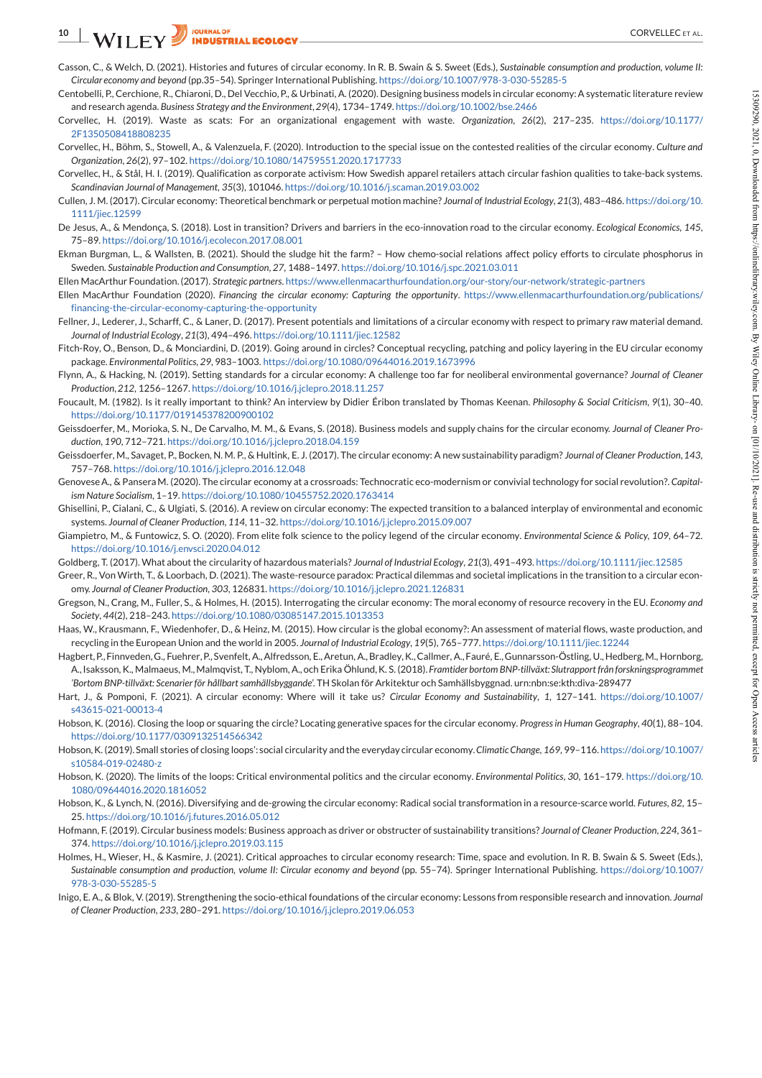- Casson, C., & Welch, D. (2021). Histories and futures of circular economy. In R. B. Swain & S.Sweet (Eds.), *Sustainable consumption and production, volume II: Circular economy and beyond* (pp.35–54). Springer International Publishing. https://doi.org/10.1007/978-3-030-55285-5
- Centobelli, P., Cerchione, R., Chiaroni, D., Del Vecchio,P., & Urbinati, A. (2020). Designing business models in circular economy:A systematic literature review and research agenda. *Business Strategy and the Environment*,*29*(4), 1734–1749. https://doi.org/10.1002/bse.2466
- Corvellec, H. (2019). Waste as scats: For an organizational engagement with waste. *Organization*, *26*(2), 217–235. https://doi.org/10.1177/ 2F1350508418808235
- Corvellec, H., Böhm, S., Stowell, A., & Valenzuela, F. (2020). Introduction to the special issue on the contested realities of the circular economy. *Culture and Organization*, *26*(2), 97–102. https://doi.org/10.1080/14759551.2020.1717733
- Corvellec, H., & Stål, H. I. (2019). Qualification as corporate activism: How Swedish apparel retailers attach circular fashion qualities to take-back systems. *Scandinavian Journal of Management*, *35*(3), 101046. https://doi.org/10.1016/j.scaman.2019.03.002
- Cullen, J. M. (2017). Circular economy: Theoretical benchmark or perpetual motion machine? *Journal of Industrial Ecology*, *21*(3), 483–486. https://doi.org/10. 1111/jiec.12599
- De Jesus, A., & Mendonça, S. (2018). Lost in transition? Drivers and barriers in the eco-innovation road to the circular economy. *Ecological Economics*, *145*, 75–89. https://doi.org/10.1016/j.ecolecon.2017.08.001
- Ekman Burgman, L., & Wallsten, B. (2021). Should the sludge hit the farm? How chemo-social relations affect policy efforts to circulate phosphorus in Sweden. *Sustainable Production and Consumption*, *27*, 1488–1497. https://doi.org/10.1016/j.spc.2021.03.011
- Ellen MacArthur Foundation.(2017). *Strategic partners*. https://www.ellenmacarthurfoundation.org/our-story/our-network/strategic-partners
- Ellen MacArthur Foundation (2020). *Financing the circular economy: Capturing the opportunity*. https://www.ellenmacarthurfoundation.org/publications/ financing-the-circular-economy-capturing-the-opportunity
- Fellner, J., Lederer, J., Scharff, C., & Laner, D. (2017). Present potentials and limitations of a circular economy with respect to primary raw material demand. *Journal of Industrial Ecology*, *21*(3), 494–496. https://doi.org/10.1111/jiec.12582
- Fitch-Roy, O., Benson, D., & Monciardini, D. (2019). Going around in circles? Conceptual recycling, patching and policy layering in the EU circular economy package. *EnvironmentalPolitics*, *29*, 983–1003. https://doi.org/10.1080/09644016.2019.1673996
- Flynn, A., & Hacking, N. (2019). Setting standards for a circular economy: A challenge too far for neoliberal environmental governance? *Journal of Cleaner Production*,*212*, 1256–1267. https://doi.org/10.1016/j.jclepro.2018.11.257
- Foucault, M. (1982). Is it really important to think? An interview by Didier Éribon translated by Thomas Keenan. *Philosophy & Social Criticism*, *9*(1), 30–40. https://doi.org/10.1177/019145378200900102
- Geissdoerfer, M., Morioka, S. N., De Carvalho, M. M., & Evans, S. (2018). Business models and supply chains for the circular economy. *Journal of Cleaner Pro duction*, *190*, 712–721. https://doi.org/10.1016/j.jclepro.2018.04.159
- Geissdoerfer, M., Savaget, P., Bocken, N. M. P., & Hultink, E. J. (2017). The circular economy: A new sustainability paradigm? *Journal of Cleaner Production*,*143*, 757–768. https://doi.org/10.1016/j.jclepro.2016.12.048
- GenoveseA., & PanseraM. (2020). The circular economy at a crossroads: Technocratic eco-modernism or convivialtechnology for social revolution?. *Capitalism Nature Socialism*, 1–19. https://doi.org/10.1080/10455752.2020.1763414
- Ghisellini, P., Cialani, C., & Ulgiati, S. (2016). A review on circular economy: The expected transition to a balanced interplay of environmental and economic systems. *Journal of Cleaner Production*, *114*, 11–32. https://doi.org/10.1016/j.jclepro.2015.09.007
- Giampietro, M., & Funtowicz, S. O. (2020). From elite folk science to the policy legend ofthe circular economy. *Environmental Science & Policy*, *109*, 64–72. https://doi.org/10.1016/j.envsci.2020.04.012
- Goldberg, T. (2017). What aboutthe circularity ofhazardous materials? *Journal of Industrial Ecology*, *21*(3), 491–493. https://doi.org/10.1111/jiec.12585
- Greer, R., Von Wirth, T., & Loorbach, D. (2021). The waste-resource paradox: Practical dilemmas and societal implications in the transition to a circular econ omy. *Journal of Cleaner Production*, *303*, 126831. https://doi.org/10.1016/j.jclepro.2021.126831
- Gregson, N., Crang, M., Fuller, S., & Holmes, H. (2015). Interrogating the circular economy: The moral economy ofresource recovery in the EU. *Economy and Society*, *44*(2), 218–243. https://doi.org/10.1080/03085147.2015.1013353
- Haas, W., Krausmann, F., Wiedenhofer, D., & Heinz, M. (2015). How circular is the global economy?: An assessment of material flows, waste production, and recycling in the European Union and the world in 2005. *Journal of Industrial Ecology*, *19*(5), 765–777. https://doi.org/10.1111/jiec.12244
- Hagbert,P.,Finnveden,G., Fuehrer,P., Svenfelt, A.,Alfredsson, E.,Aretun, A.,Bradley,K.,Callmer, A.,Fauré, E.,Gunnarsson-Östling, U.,Hedberg,M., Hornborg, A.,Isaksson, K., Malmaeus, M.,Malmqvist, T., Nyblom, A., och Erika Öhlund,K. S. (2018). *Framtider bortom BNP-tillväxt: Slutrapport från forskningsprogrammet 'Bortom BNP-tillväxt: Scenarier för hållbartsamhällsbyggande*'. TH Skolan för Arkitektur och Samhällsbyggnad. urn:nbn:se:kth:diva-289477
- Hart, J., & Pomponi, F. (2021). A circular economy: Where will it take us? *Circular Economy and Sustainability*, *1*, 127–141. https://doi.org/10.1007/ s43615-021-00013-4
- Hobson, K. (2016). Closing the loop or squaring the circle? Locating generative spaces for the circular economy. *Progressin Human Geography*, *40*(1), 88–104. https://doi.org/10.1177/0309132514566342
- Hobson,K. (2019). Small stories of closing loops': social circularity andthe everyday circular economy.*ClimaticChange*, *169*, 99–116. https://doi.org/10.1007/ s10584-019-02480-z
- Hobson, K. (2020). The limits of the loops: Critical environmental politics and the circular economy. *Environmental Politics*, *30*, 161–179. https://doi.org/10. 1080/09644016.2020.1816052
- Hobson, K., & Lynch, N. (2016). Diversifying and de-growing the circular economy: Radical social transformation in a resource-scarce world. *Futures*, *82*, 15– 25. https://doi.org/10.1016/j.futures.2016.05.012
- Hofmann, F. (2019). Circular business models: Business approach as driver or obstructer of sustainability transitions? *Journal of Cleaner Production*,*224*, 361– 374. https://doi.org/10.1016/j.jclepro.2019.03.115
- Holmes, H., Wieser, H., & Kasmire, J. (2021). Critical approaches to circular economy research: Time, space and evolution. In R. B. Swain & S.Sweet (Eds.), *Sustainable consumption and production, volume II: Circular economy and beyond* (pp.55–74). Springer International Publishing. https://doi.org/10.1007/ 978-3-030-55285-5 NoW IN Contrast the Material Schwarz in the Material Schwarz in the material scheme in the Material Schwarz in the Material Schwarz in the Material Schwarz in the Material Schwarz in the Material Schwarz in the Material
- Inigo, E. A., & Blok, V. (2019). Strengthening the socio-ethical foundations ofthe circular economy: Lessons from responsible research and innovation. *Journal*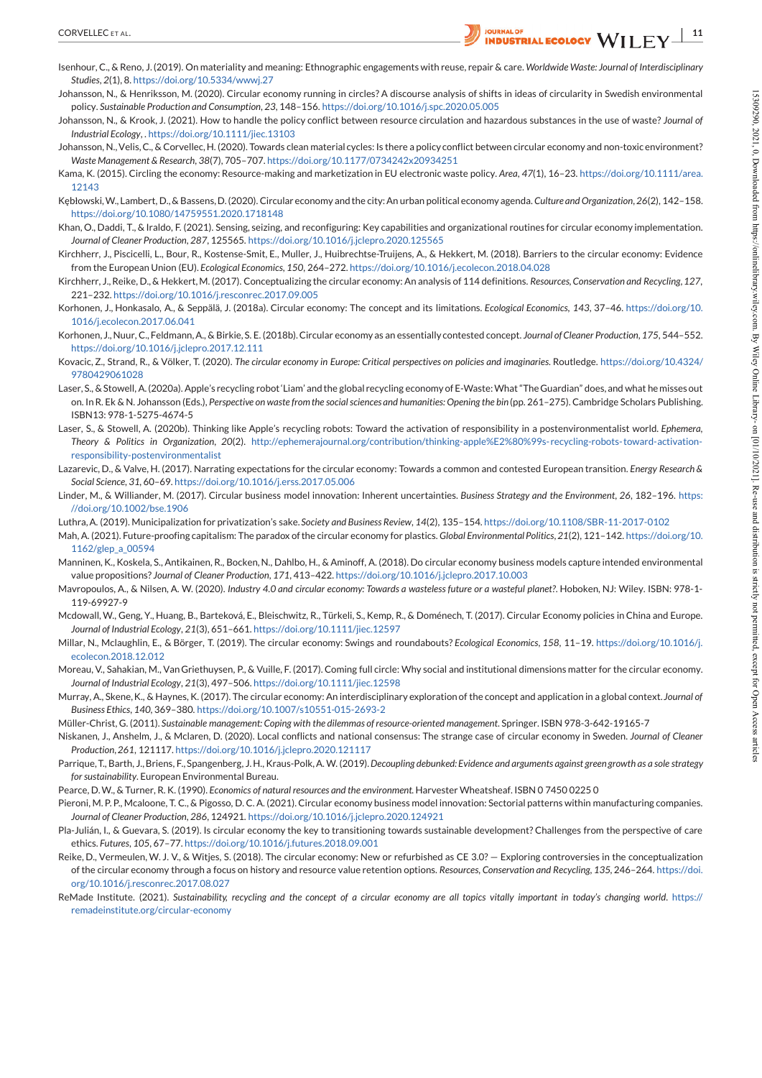- Isenhour, C., & Reno, J.(2019). On materiality and meaning: Ethnographic engagements with reuse, repair & care. *Worldwide Waste: Journal of Interdisciplinary Studies*, *2*(1), 8. https://doi.org/10.5334/wwwj.27
- Johansson, N., & Henriksson, M. (2020). Circular economy running in circles? A discourse analysis of shifts in ideas of circularity in Swedish environmental policy. *Sustainable Production and Consumption*, *23*, 148–156. https://doi.org/10.1016/j.spc.2020.05.005
- Johansson, N., & Krook, J. (2021). How tohandle the policy conflict between resource circulation and hazardous substances in the use of waste? *Journal of Industrial Ecology*, . https://doi.org/10.1111/jiec.13103
- Johansson, N.,Velis,C., & Corvellec,H. (2020). Towards clean material cycles: Is there a policy conflict between circular economy and non-toxic environment? *Waste Management & Research*, *38*(7), 705–707. https://doi.org/10.1177/0734242x20934251
- Kama, K. (2015). Circling the economy: Resource-making and marketization in EU electronic waste policy. *Area*, *47*(1), 16–23. https://doi.org/10.1111/area. 12143
- Kębłowski,W., Lambert, D.,& Bassens,D.(2020). Circular economy andthe city:An urban political economy agenda. *Culture and Organization*,*26*(2), 142–158. https://doi.org/10.1080/14759551.2020.1718148
- Khan, O., Daddi, T., & Iraldo, F. (2021). Sensing, seizing, and reconfiguring: Key capabilities and organizational routines for circular economy implementation. *Journal of Cleaner Production*, *287*, 125565. https://doi.org/10.1016/j.jclepro.2020.125565
- Kirchherr, J., Piscicelli, L., Bour, R., Kostense-Smit, E., Muller, J., Huibrechtse-Truijens, A., & Hekkert, M. (2018). Barriers to the circular economy: Evidence from the European Union (EU). *Ecological Economics*, *150*, 264–272. https://doi.org/10.1016/j.ecolecon.2018.04.028
- Kirchherr, J.,Reike, D.,& Hekkert,M. (2017). Conceptualizing the circular economy: An analysis of 114 definitions. *Resources,Conservation and Recycling*,*127*, 221–232. https://doi.org/10.1016/j.resconrec.2017.09.005
- Korhonen, J., Honkasalo, A., & Seppälä, J. (2018a). Circular economy: The concept and its limitations. *Ecological Economics*, *143*, 37–46. https://doi.org/10. 1016/j.ecolecon.2017.06.041
- Korhonen, J.,Nuur, C.,Feldmann,A., & Birkie, S. E. (2018b).Circular economy as an essentially contested concept. *Journal ofCleaner Production*,*175*, 544–552. https://doi.org/10.1016/j.jclepro.2017.12.111
- Kovacic, Z., Strand, R., & Völker, T. (2020). The circular economy in Europe: Critical perspectives on policies and imaginaries. Routledge. https://doi.org/10.4324/ 9780429061028
- Laser, S., &Stowell, A.(2020a). Apple's recycling robot'Liam' andthe global recycling economy ofE-Waste:What"TheGuardian" does, and what he misses out on. In R. Ek & N. Johansson (Eds.), Perspective on waste from the social sciences and humanities: Opening the bin (pp. 261-275). Cambridge Scholars Publishing. ISBN13: 978-1-5275-4674-5 annon be heliodown 19200 Contract and a state of the state of the state of the state of the state of the state of the state of the state of the state of the state of the state of the state of the state of the state of
- Laser, S., & Stowell, A. (2020b). Thinking like Apple's recycling robots: Toward the activation ofresponsibility in a postenvironmentalist world. *Ephemera, Theory & Politics in Organization*, *20*(2). http://ephemerajournal.org/contribution/thinking-apple%E2%80%99s- recycling-robots-toward-activation responsibility-postenvironmentalist
- Lazarevic, D., & Valve,H. (2017). Narrating expectations for the circular economy: Towards a common and contested European transition. *Energy Research & Social Science*, *31*, 60–69. https://doi.org/10.1016/j.erss.2017.05.006
- Linder, M., & Williander, M. (2017). Circular business model innovation: Inherent uncertainties. *Business Strategy and the Environment*, *26*, 182–196. https: //doi.org/10.1002/bse.1906
- Luthra,A. (2019). Municipalization for privatization's sake. *Society and Business Review*, *14*(2), 135–154. https://doi.org/10.1108/SBR-11-2017-0102
- Mah, A. (2021). Future-proofing capitalism: The paradox ofthe circular economy for plastics. *Global EnvironmentalPolitics*,*21*(2), 121–142. https://doi.org/10. 1162/glep\_a\_00594
- Manninen, K., Koskela, S., Antikainen, R., Bocken,N., Dahlbo, H., & Aminoff, A. (2018). Do circular economy business models capture intended environmental value propositions? *Journal of Cleaner Production*, *171*, 413–422. https://doi.org/10.1016/j.jclepro.2017.10.003
- Mavropoulos, A., & Nilsen, A. W. (2020). Industry 4.0 and circular economy: Towards a wasteless future or a wasteful planet?. Hoboken, NJ: Wiley. ISBN: 978-1-119-69927-9
- Mcdowall, W., Geng, Y., Huang, B., Barteková, E., Bleischwitz, R., Türkeli, S., Kemp, R., & Doménech, T. (2017). Circular Economy policies in China and Europe. *Journal of Industrial Ecology*, *21*(3), 651–661. https://doi.org/10.1111/jiec.12597
- Millar, N., Mclaughlin, E., & Börger, T. (2019). The circular economy: Swings and roundabouts? *Ecological Economics*, *158*, 11–19. https://doi.org/10.1016/j. ecolecon.2018.12.012
- Moreau, V., Sahakian, M., VanGriethuysen, P., & Vuille, F. (2017). Coming full circle: Why social and institutional dimensions matter for the circular economy. *Journal of Industrial Ecology*, *21*(3), 497–506. https://doi.org/10.1111/jiec.12598
- Murray, A., Skene,K., & Haynes, K. (2017). The circular economy: An interdisciplinary exploration of the concept and application in a global context. *Journal of Business Ethics*, *140*, 369–380. https://doi.org/10.1007/s10551-015-2693-2
- Müller-Christ, G. (2011). *Sustainable management: Coping with the dilemmas of resource-oriented management*. Springer. ISBN 978-3-642-19165-7
- Niskanen, J., Anshelm, J., & Mclaren, D. (2020). Local conflicts and national consensus: The strange case of circular economy in Sweden. *Journal of Cleaner Production*,*261*, 121117. https://doi.org/10.1016/j.jclepro.2020.121117
- Parrique, T., Barth, J., Briens, F., Spangenberg, J.H., Kraus-Polk, A.W. (2019). Decoupling debunked: Evidence and arguments against green growth as a sole strategy for sustainability. European Environmental Bureau.
- Pearce, D.W., & Turner, R. K. (1990). *Economics of natural resources and the environment*. Harvester Wheatsheaf. ISBN 0 7450 0225 0
- Pieroni, M. P. P., Mcaloone, T. C., & Pigosso, D. C. A. (2021). Circular economy business model innovation: Sectorial patterns within manufacturing companies. *Journal of Cleaner Production*, *286*, 124921. https://doi.org/10.1016/j.jclepro.2020.124921
- Pla-Julián, I., & Guevara, S. (2019). Is circular economy the key to transitioning towards sustainable development? Challenges from the perspective of care ethics. *Futures*, *105*, 67–77. https://doi.org/10.1016/j.futures.2018.09.001
- Reike, D., Vermeulen, W. J. V., & Witjes, S. (2018). The circular economy: New or refurbished as CE 3.0? Exploring controversies in the conceptualization ofthe circular economy through a focus on history and resource value retention options. *Resources, Conservation and Recycling*, *135*, 246–264. https://doi. org/10.1016/j.resconrec.2017.08.027
- ReMade Institute. (2021). Sustainability, recycling and the concept of a circular economy are all topics vitally important in today's changing world. https://